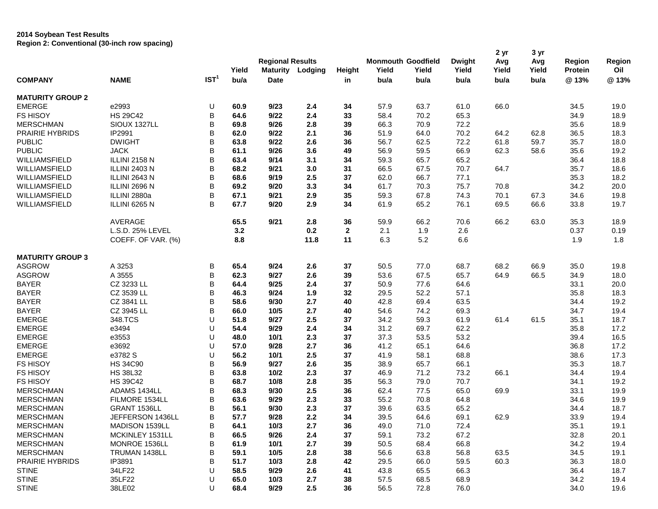## **2014 Soybean Test Results Region 2: Conventional (30-inch row spacing)**

|                         |                      |                  | Yield | <b>Regional Results</b><br><b>Maturity</b> | Lodging | <b>Height</b> | <b>Monmouth Goodfield</b><br>Yield | Yield | <b>Dwight</b><br>Yield | 2 yr<br>Avg<br>Yield | 3 yr<br>Avg<br>Yield | Region<br><b>Protein</b> | Region<br>Oil |
|-------------------------|----------------------|------------------|-------|--------------------------------------------|---------|---------------|------------------------------------|-------|------------------------|----------------------|----------------------|--------------------------|---------------|
| <b>COMPANY</b>          | <b>NAME</b>          | IST <sup>1</sup> | bu/a  | <b>Date</b>                                |         | in            | bu/a                               | bu/a  | bu/a                   | bu/a                 | bu/a                 | @13%                     | @13%          |
| <b>MATURITY GROUP 2</b> |                      |                  |       |                                            |         |               |                                    |       |                        |                      |                      |                          |               |
| <b>EMERGE</b>           | e2993                | U                | 60.9  | 9/23                                       | 2.4     | 34            | 57.9                               | 63.7  | 61.0                   | 66.0                 |                      | 34.5                     | 19.0          |
| <b>FS HISOY</b>         | <b>HS 29C42</b>      | B                | 64.6  | 9/22                                       | 2.4     | 33            | 58.4                               | 70.2  | 65.3                   |                      |                      | 34.9                     | 18.9          |
| <b>MERSCHMAN</b>        | SIOUX 1327LL         | В                | 69.8  | 9/26                                       | 2.8     | 39            | 66.3                               | 70.9  | 72.2                   |                      |                      | 35.6                     | 18.9          |
| PRAIRIE HYBRIDS         | IP2991               | B                | 62.0  | 9/22                                       | 2.1     | 36            | 51.9                               | 64.0  | 70.2                   | 64.2                 | 62.8                 | 36.5                     | 18.3          |
| <b>PUBLIC</b>           | <b>DWIGHT</b>        | В                | 63.8  | 9/22                                       | 2.6     | 36            | 56.7                               | 62.5  | 72.2                   | 61.8                 | 59.7                 | 35.7                     | 18.0          |
| <b>PUBLIC</b>           | <b>JACK</b>          | В                | 61.1  | 9/26                                       | 3.6     | 49            | 56.9                               | 59.5  | 66.9                   | 62.3                 | 58.6                 | 35.6                     | 19.2          |
| WILLIAMSFIELD           | ILLINI 2158 N        | В                | 63.4  | 9/14                                       | 3.1     | 34            | 59.3                               | 65.7  | 65.2                   |                      |                      | 36.4                     | 18.8          |
| WILLIAMSFIELD           | <b>ILLINI 2403 N</b> | B                | 68.2  | 9/21                                       | 3.0     | 31            | 66.5                               | 67.5  | 70.7                   | 64.7                 |                      | 35.7                     | 18.6          |
| WILLIAMSFIELD           | ILLINI 2643 N        | B                | 68.6  | 9/19                                       | 2.5     | 37            | 62.0                               | 66.7  | 77.1                   |                      |                      | 35.3                     | 18.2          |
| WILLIAMSFIELD           | ILLINI 2696 N        | В                | 69.2  | 9/20                                       | 3.3     | 34            | 61.7                               | 70.3  | 75.7                   | 70.8                 |                      | 34.2                     | 20.0          |
| WILLIAMSFIELD           | ILLINI 2880a         | В                | 67.1  | 9/21                                       | 2.9     | 35            | 59.3                               | 67.8  | 74.3                   | 70.1                 | 67.3                 | 34.6                     | 19.8          |
| WILLIAMSFIELD           | ILLINI 6265 N        | B                | 67.7  | 9/20                                       | 2.9     | 34            | 61.9                               | 65.2  | 76.1                   | 69.5                 | 66.6                 | 33.8                     | 19.7          |
|                         | AVERAGE              |                  | 65.5  | 9/21                                       | 2.8     | 36            | 59.9                               | 66.2  | 70.6                   | 66.2                 | 63.0                 | 35.3                     | 18.9          |
|                         | L.S.D. 25% LEVEL     |                  | 3.2   |                                            | 0.2     | $\mathbf{2}$  | 2.1                                | 1.9   | 2.6                    |                      |                      | 0.37                     | 0.19          |
|                         | COEFF. OF VAR. (%)   |                  | 8.8   |                                            | 11.8    | 11            | 6.3                                | 5.2   | 6.6                    |                      |                      | 1.9                      | 1.8           |
| <b>MATURITY GROUP 3</b> |                      |                  |       |                                            |         |               |                                    |       |                        |                      |                      |                          |               |
| <b>ASGROW</b>           | A 3253               | В                | 65.4  | 9/24                                       | 2.6     | 37            | 50.5                               | 77.0  | 68.7                   | 68.2                 | 66.9                 | 35.0                     | 19.8          |
| <b>ASGROW</b>           | A 3555               | B                | 62.3  | 9/27                                       | 2.6     | 39            | 53.6                               | 67.5  | 65.7                   | 64.9                 | 66.5                 | 34.9                     | 18.0          |
| <b>BAYER</b>            | CZ 3233 LL           | B                | 64.4  | 9/25                                       | 2.4     | 37            | 50.9                               | 77.6  | 64.6                   |                      |                      | 33.1                     | 20.0          |
| <b>BAYER</b>            | CZ 3539 LL           | B                | 46.3  | 9/24                                       | 1.9     | 32            | 29.5                               | 52.2  | 57.1                   |                      |                      | 35.8                     | 18.3          |
| <b>BAYER</b>            | CZ 3841 LL           | В                | 58.6  | 9/30                                       | 2.7     | 40            | 42.8                               | 69.4  | 63.5                   |                      |                      | 34.4                     | 19.2          |
| <b>BAYER</b>            | CZ 3945 LL           | В                | 66.0  | 10/5                                       | 2.7     | 40            | 54.6                               | 74.2  | 69.3                   |                      |                      | 34.7                     | 19.4          |
| <b>EMERGE</b>           | 348.TCS              | U                | 51.8  | 9/27                                       | 2.5     | 37            | 34.2                               | 59.3  | 61.9                   | 61.4                 | 61.5                 | 35.1                     | 18.7          |
| <b>EMERGE</b>           | e3494                | U                | 54.4  | 9/29                                       | 2.4     | 34            | 31.2                               | 69.7  | 62.2                   |                      |                      | 35.8                     | 17.2          |
| <b>EMERGE</b>           | e3553                | U                | 48.0  | 10/1                                       | 2.3     | 37            | 37.3                               | 53.5  | 53.2                   |                      |                      | 39.4                     | 16.5          |
| <b>EMERGE</b>           | e3692                | U                | 57.0  | 9/28                                       | 2.7     | 36            | 41.2                               | 65.1  | 64.6                   |                      |                      | 36.8                     | 17.2          |
| <b>EMERGE</b>           | e3782 S              | U                | 56.2  | 10/1                                       | 2.5     | 37            | 41.9                               | 58.1  | 68.8                   |                      |                      | 38.6                     | 17.3          |
| <b>FS HISOY</b>         | <b>HS 34C90</b>      | B                | 56.9  | 9/27                                       | 2.6     | 35            | 38.9                               | 65.7  | 66.1                   |                      |                      | 35.3                     | 18.7          |
| <b>FS HISOY</b>         | <b>HS 38L32</b>      | В                | 63.8  | 10/2                                       | 2.3     | 37            | 46.9                               | 71.2  | 73.2                   | 66.1                 |                      | 34.4                     | 19.4          |
| <b>FS HISOY</b>         | <b>HS 39C42</b>      | B                | 68.7  | 10/8                                       | 2.8     | 35            | 56.3                               | 79.0  | 70.7                   |                      |                      | 34.1                     | 19.2          |
| <b>MERSCHMAN</b>        | ADAMS 1434LL         | В                | 68.3  | 9/30                                       | 2.5     | 36            | 62.4                               | 77.5  | 65.0                   | 69.9                 |                      | 33.1                     | 19.9          |
| <b>MERSCHMAN</b>        | FILMORE 1534LL       | В                | 63.6  | 9/29                                       | 2.3     | 33            | 55.2                               | 70.8  | 64.8                   |                      |                      | 34.6                     | 19.9          |
| <b>MERSCHMAN</b>        | GRANT 1536LL         | B                | 56.1  | 9/30                                       | 2.3     | 37            | 39.6                               | 63.5  | 65.2                   |                      |                      | 34.4                     | 18.7          |
| <b>MERSCHMAN</b>        | JEFFERSON 1436LL     | B                | 57.7  | 9/28                                       | 2.2     | 34            | 39.5                               | 64.6  | 69.1                   | 62.9                 |                      | 33.9                     | 19.4          |
| <b>MERSCHMAN</b>        | MADISON 1539LL       | B                | 64.1  | 10/3                                       | 2.7     | 36            | 49.0                               | 71.0  | 72.4                   |                      |                      | 35.1                     | 19.1          |
| <b>MERSCHMAN</b>        | MCKINLEY 1531LL      | B                | 66.5  | 9/26                                       | 2.4     | 37            | 59.1                               | 73.2  | 67.2                   |                      |                      | 32.8                     | 20.1          |
| <b>MERSCHMAN</b>        | MONROE 1536LL        | B                | 61.9  | 10/1                                       | 2.7     | 39            | 50.5                               | 68.4  | 66.8                   |                      |                      | 34.2                     | 19.4          |
| <b>MERSCHMAN</b>        | TRUMAN 1438LL        | В                | 59.1  | 10/5                                       | 2.8     | 38            | 56.6                               | 63.8  | 56.8                   | 63.5                 |                      | 34.5                     | 19.1          |
| <b>PRAIRIE HYBRIDS</b>  | IP3891               | В                | 51.7  | 10/3                                       | 2.8     | 42            | 29.5                               | 66.0  | 59.5                   | 60.3                 |                      | 36.3                     | 18.0          |
| <b>STINE</b>            | 34LF22               | U                | 58.5  | 9/29                                       | 2.6     | 41            | 43.8                               | 65.5  | 66.3                   |                      |                      | 36.4                     | 18.7          |
| <b>STINE</b>            | 35LF22               | U                | 65.0  | 10/3                                       | 2.7     | 38            | 57.5                               | 68.5  | 68.9                   |                      |                      | 34.2                     | 19.4          |
| <b>STINE</b>            | 38LE02               | U                | 68.4  | 9/29                                       | 2.5     | 36            | 56.5                               | 72.8  | 76.0                   |                      |                      | 34.0                     | 19.6          |